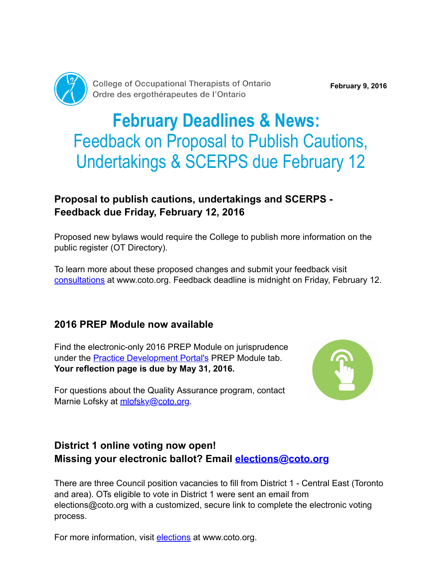

College of Occupational Therapists of Ontario Ordre des ergothérapeutes de l'Ontario

# February Deadlines & News: Feedback on Proposal to Publish Cautions, Undertakings & SCERPS due February 12

## Proposal to publish cautions, undertakings and SCERPS - Feedback due Friday, February 12, 2016

Proposed new bylaws would require the College to publish more information on the public register (OT Directory).

To learn more about these proposed changes and submit your feedback visit [consultations](http://www.coto.org/about/consultations.asp) at www.coto.org. Feedback deadline is midnight on Friday, February 12.

#### 2016 PREP Module now available

Find the electronic-only 2016 PREP Module on jurisprudence under the **Practice Development Portal's** PREP Module tab. Your reflection page is due by May 31, 2016.



For questions about the Quality Assurance program, contact Marnie Lofsky at [mlofsky@coto.org](mailto:mlofsky@coto.org).

### District 1 online voting now open! Missing your electronic ballot? Email [elections@coto.org](mailto:elections@coto.org)

There are three Council position vacancies to fill from District 1 - Central East (Toronto and area). OTs eligible to vote in District 1 were sent an email from elections@coto.org with a customized, secure link to complete the electronic voting process.

For more information, visit [elections](http://www.coto.org/about/council-elections.asp) at www.coto.org.